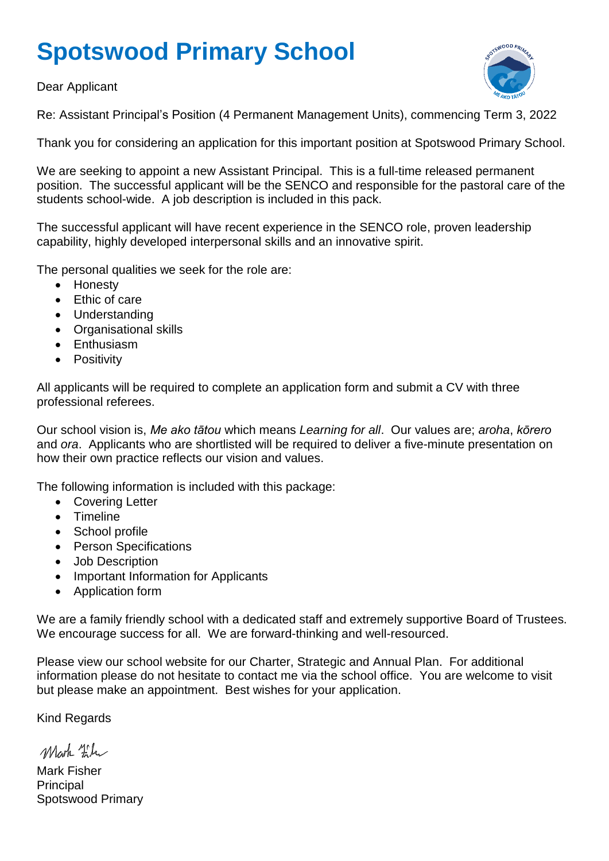# **Spotswood Primary School**

Dear Applicant



Re: Assistant Principal's Position (4 Permanent Management Units), commencing Term 3, 2022

Thank you for considering an application for this important position at Spotswood Primary School.

We are seeking to appoint a new Assistant Principal. This is a full-time released permanent position. The successful applicant will be the SENCO and responsible for the pastoral care of the students school-wide. A job description is included in this pack.

The successful applicant will have recent experience in the SENCO role, proven leadership capability, highly developed interpersonal skills and an innovative spirit.

The personal qualities we seek for the role are:

- Honesty
- Ethic of care
- Understanding
- Organisational skills
- Enthusiasm
- Positivity

All applicants will be required to complete an application form and submit a CV with three professional referees.

Our school vision is, *Me ako tātou* which means *Learning for all*. Our values are; *aroha*, *kōrero* and *ora*. Applicants who are shortlisted will be required to deliver a five-minute presentation on how their own practice reflects our vision and values.

The following information is included with this package:

- Covering Letter
- Timeline
- School profile
- Person Specifications
- Job Description
- Important Information for Applicants
- Application form

We are a family friendly school with a dedicated staff and extremely supportive Board of Trustees. We encourage success for all. We are forward-thinking and well-resourced.

Please view our school website for our Charter, Strategic and Annual Plan. For additional information please do not hesitate to contact me via the school office. You are welcome to visit but please make an appointment. Best wishes for your application.

Kind Regards

Mark Film

Mark Fisher Principal Spotswood Primary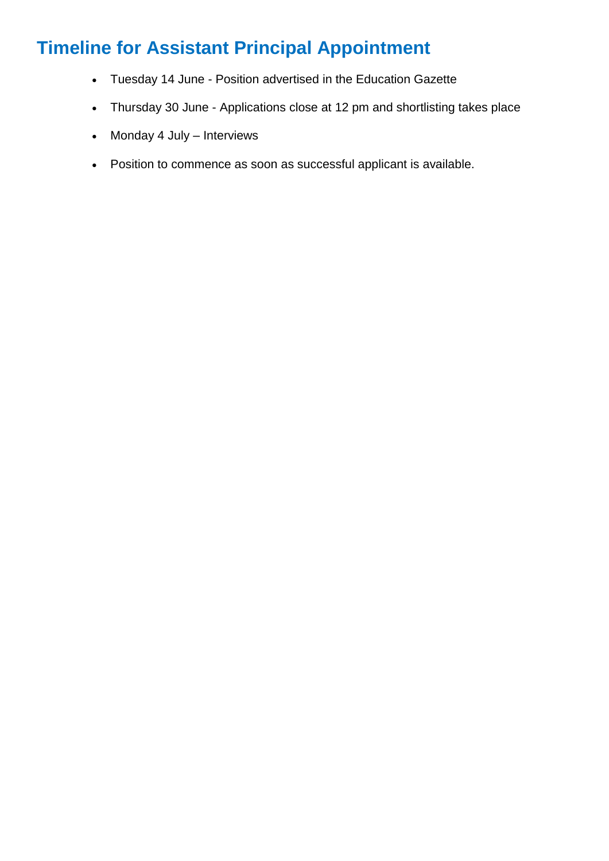## **Timeline for Assistant Principal Appointment**

- Tuesday 14 June Position advertised in the Education Gazette
- Thursday 30 June Applications close at 12 pm and shortlisting takes place
- Monday 4 July Interviews
- Position to commence as soon as successful applicant is available.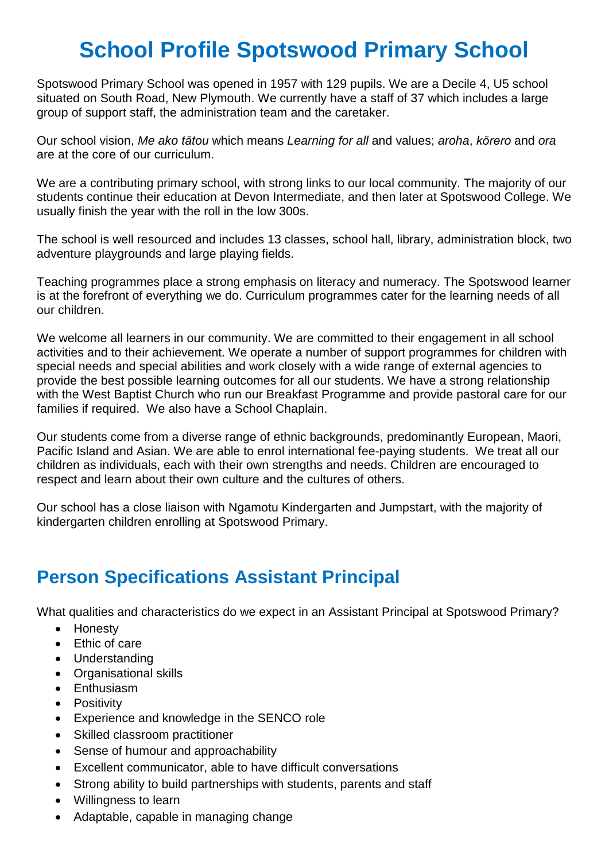## **School Profile Spotswood Primary School**

Spotswood Primary School was opened in 1957 with 129 pupils. We are a Decile 4, U5 school situated on South Road, New Plymouth. We currently have a staff of 37 which includes a large group of support staff, the administration team and the caretaker.

Our school vision, *Me ako tātou* which means *Learning for all* and values; *aroha*, *kōrero* and *ora* are at the core of our curriculum.

We are a contributing primary school, with strong links to our local community. The majority of our students continue their education at Devon Intermediate, and then later at Spotswood College. We usually finish the year with the roll in the low 300s.

The school is well resourced and includes 13 classes, school hall, library, administration block, two adventure playgrounds and large playing fields.

Teaching programmes place a strong emphasis on literacy and numeracy. The Spotswood learner is at the forefront of everything we do. Curriculum programmes cater for the learning needs of all our children.

We welcome all learners in our community. We are committed to their engagement in all school activities and to their achievement. We operate a number of support programmes for children with special needs and special abilities and work closely with a wide range of external agencies to provide the best possible learning outcomes for all our students. We have a strong relationship with the West Baptist Church who run our Breakfast Programme and provide pastoral care for our families if required. We also have a School Chaplain.

Our students come from a diverse range of ethnic backgrounds, predominantly European, Maori, Pacific Island and Asian. We are able to enrol international fee-paying students. We treat all our children as individuals, each with their own strengths and needs. Children are encouraged to respect and learn about their own culture and the cultures of others.

Our school has a close liaison with Ngamotu Kindergarten and Jumpstart, with the majority of kindergarten children enrolling at Spotswood Primary.

### **Person Specifications Assistant Principal**

What qualities and characteristics do we expect in an Assistant Principal at Spotswood Primary?

- Honesty
- Ethic of care
- Understanding
- Organisational skills
- Enthusiasm
- Positivity
- Experience and knowledge in the SENCO role
- Skilled classroom practitioner
- Sense of humour and approachability
- Excellent communicator, able to have difficult conversations
- Strong ability to build partnerships with students, parents and staff
- Willingness to learn
- Adaptable, capable in managing change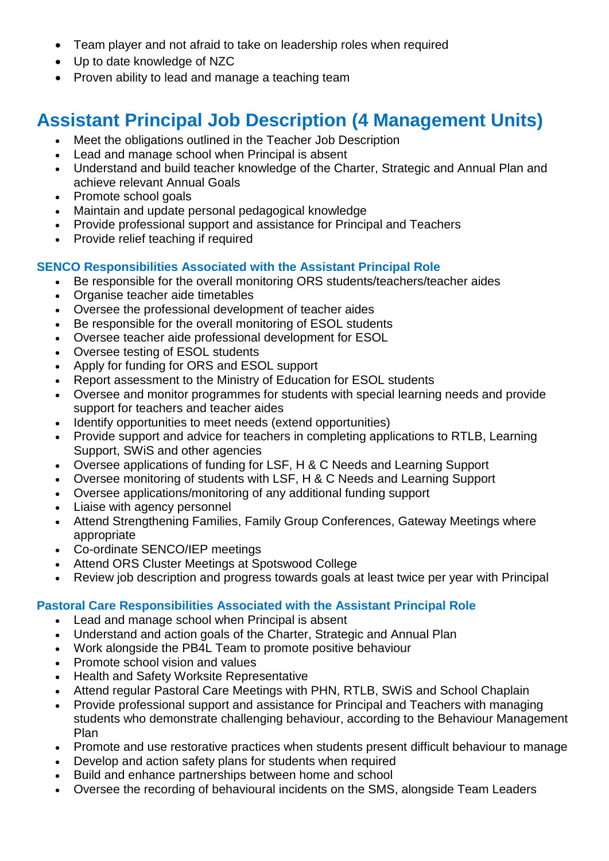- Team player and not afraid to take on leadership roles when required
- Up to date knowledge of NZC
- Proven ability to lead and manage a teaching team

### **Assistant Principal Job Description (4 Management Units)**

- Meet the obligations outlined in the Teacher Job Description
- Lead and manage school when Principal is absent
- Understand and build teacher knowledge of the Charter, Strategic and Annual Plan and achieve relevant Annual Goals
- Promote school goals
- Maintain and update personal pedagogical knowledge
- Provide professional support and assistance for Principal and Teachers
- Provide relief teaching if required

#### **SENCO Responsibilities Associated with the Assistant Principal Role**

- Be responsible for the overall monitoring ORS students/teachers/teacher aides
- Organise teacher aide timetables
- Oversee the professional development of teacher aides
- Be responsible for the overall monitoring of ESOL students
- Oversee teacher aide professional development for ESOL
- Oversee testing of ESOL students
- Apply for funding for ORS and ESOL support
- Report assessment to the Ministry of Education for ESOL students
- Oversee and monitor programmes for students with special learning needs and provide support for teachers and teacher aides
- Identify opportunities to meet needs (extend opportunities)
- Provide support and advice for teachers in completing applications to RTLB, Learning Support, SWiS and other agencies
- Oversee applications of funding for LSF, H & C Needs and Learning Support
- Oversee monitoring of students with LSF, H & C Needs and Learning Support
- Oversee applications/monitoring of any additional funding support
- Liaise with agency personnel
- Attend Strengthening Families, Family Group Conferences, Gateway Meetings where appropriate
- Co-ordinate SENCO/IEP meetings
- Attend ORS Cluster Meetings at Spotswood College
- Review job description and progress towards goals at least twice per year with Principal

#### **Pastoral Care Responsibilities Associated with the Assistant Principal Role**

- Lead and manage school when Principal is absent
- Understand and action goals of the Charter, Strategic and Annual Plan
- Work alongside the PB4L Team to promote positive behaviour
- Promote school vision and values
- Health and Safety Worksite Representative
- Attend regular Pastoral Care Meetings with PHN, RTLB, SWiS and School Chaplain
- Provide professional support and assistance for Principal and Teachers with managing students who demonstrate challenging behaviour, according to the Behaviour Management Plan
- Promote and use restorative practices when students present difficult behaviour to manage
- Develop and action safety plans for students when required
- Build and enhance partnerships between home and school
- Oversee the recording of behavioural incidents on the SMS, alongside Team Leaders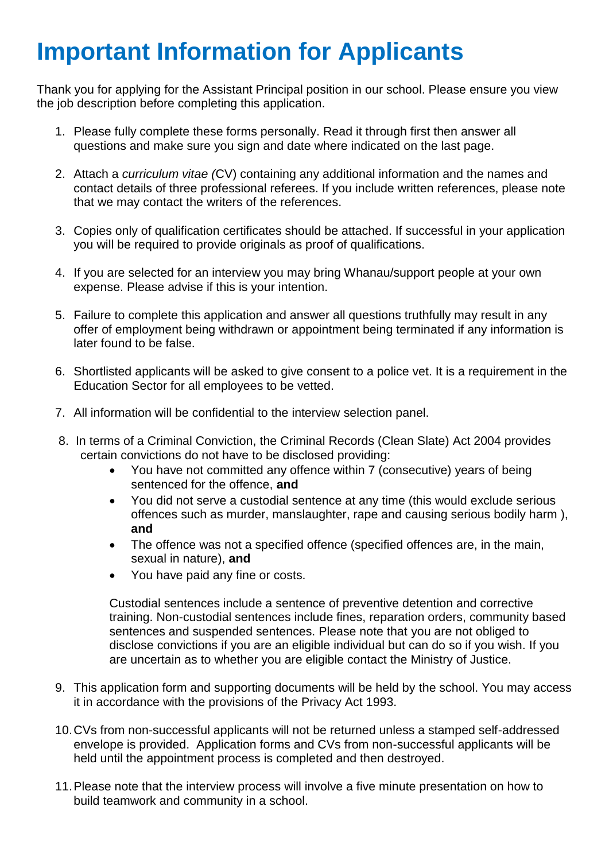# **Important Information for Applicants**

Thank you for applying for the Assistant Principal position in our school. Please ensure you view the job description before completing this application.

- 1. Please fully complete these forms personally. Read it through first then answer all questions and make sure you sign and date where indicated on the last page.
- 2. Attach a *curriculum vitae (*CV) containing any additional information and the names and contact details of three professional referees. If you include written references, please note that we may contact the writers of the references.
- 3. Copies only of qualification certificates should be attached. If successful in your application you will be required to provide originals as proof of qualifications.
- 4. If you are selected for an interview you may bring Whanau/support people at your own expense. Please advise if this is your intention.
- 5. Failure to complete this application and answer all questions truthfully may result in any offer of employment being withdrawn or appointment being terminated if any information is later found to be false.
- 6. Shortlisted applicants will be asked to give consent to a police vet. It is a requirement in the Education Sector for all employees to be vetted.
- 7. All information will be confidential to the interview selection panel.
- 8. In terms of a Criminal Conviction, the Criminal Records (Clean Slate) Act 2004 provides certain convictions do not have to be disclosed providing:
	- You have not committed any offence within 7 (consecutive) years of being sentenced for the offence, **and**
	- You did not serve a custodial sentence at any time (this would exclude serious offences such as murder, manslaughter, rape and causing serious bodily harm ), **and**
	- The offence was not a specified offence (specified offences are, in the main, sexual in nature), **and**
	- You have paid any fine or costs.

Custodial sentences include a sentence of preventive detention and corrective training. Non-custodial sentences include fines, reparation orders, community based sentences and suspended sentences. Please note that you are not obliged to disclose convictions if you are an eligible individual but can do so if you wish. If you are uncertain as to whether you are eligible contact the Ministry of Justice.

- 9. This application form and supporting documents will be held by the school. You may access it in accordance with the provisions of the Privacy Act 1993.
- 10.CVs from non-successful applicants will not be returned unless a stamped self-addressed envelope is provided. Application forms and CVs from non-successful applicants will be held until the appointment process is completed and then destroyed.
- 11.Please note that the interview process will involve a five minute presentation on how to build teamwork and community in a school.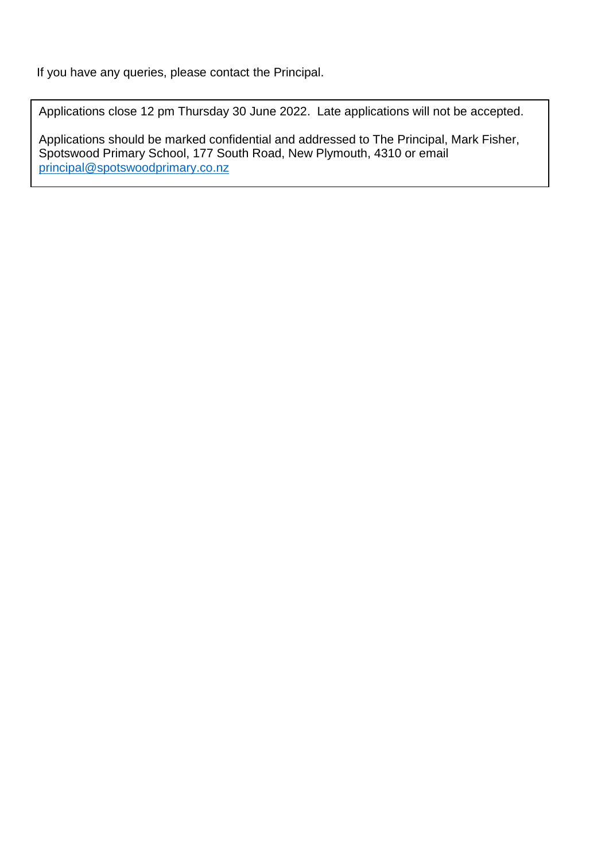If you have any queries, please contact the Principal.

Applications close 12 pm Thursday 30 June 2022. Late applications will not be accepted.

Applications should be marked confidential and addressed to The Principal, Mark Fisher, Spotswood Primary School, 177 South Road, New Plymouth, 4310 or email [principal@spotswoodprimary.co.nz](mailto:principal@spotswoodprimary.co.nz)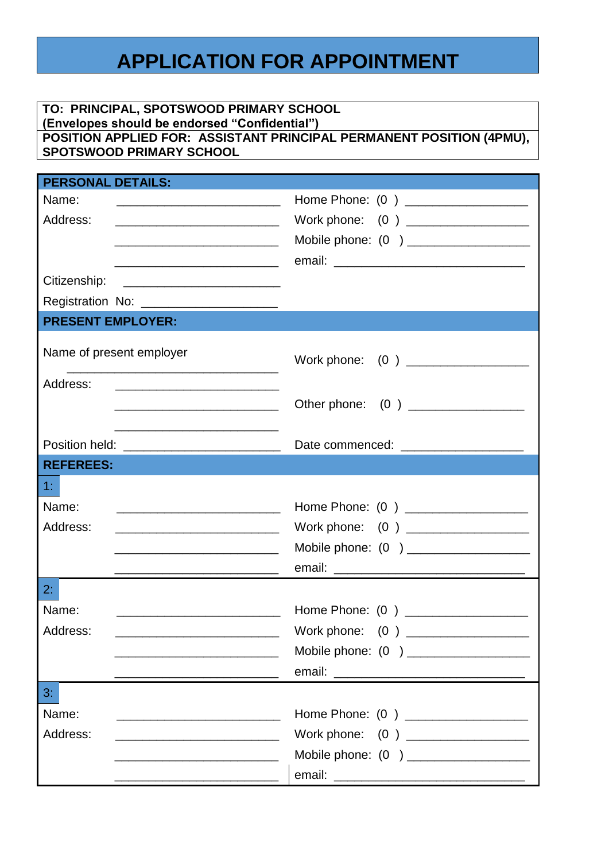## **APPLICATION FOR APPOINTMENT**

#### **TO: PRINCIPAL, SPOTSWOOD PRIMARY SCHOOL (Envelopes should be endorsed "Confidential")**

#### **POSITION APPLIED FOR: ASSISTANT PRINCIPAL PERMANENT POSITION (4PMU), SPOTSWOOD PRIMARY SCHOOL**

| <b>PERSONAL DETAILS:</b>                                                                                                      |                                         |
|-------------------------------------------------------------------------------------------------------------------------------|-----------------------------------------|
| Name:                                                                                                                         | Home Phone: (0) ____________________    |
| Address:<br><u> 2000 - Jan James James Barnett, president politik (</u>                                                       | Work phone: (0) ___________________     |
|                                                                                                                               | Mobile phone: (0) ____________________  |
|                                                                                                                               |                                         |
| Citizenship:                                                                                                                  |                                         |
| Registration No: ______________________                                                                                       |                                         |
| <b>PRESENT EMPLOYER:</b>                                                                                                      |                                         |
|                                                                                                                               |                                         |
| Name of present employer                                                                                                      |                                         |
|                                                                                                                               | Work phone: (0) ___________________     |
| Address:                                                                                                                      |                                         |
|                                                                                                                               | Other phone: (0) ________________       |
|                                                                                                                               |                                         |
| Position held: _____________________________                                                                                  | Date commenced: _______________________ |
| <b>REFEREES:</b>                                                                                                              |                                         |
| 1:                                                                                                                            |                                         |
| Name:<br><u> 1989 - Johann Barn, mars ar breithinn ar breithinn ar breithinn ar breithinn ar breithinn ar breithinn ar br</u> |                                         |
| Address:                                                                                                                      | Work phone: (0) __________________      |
|                                                                                                                               | Mobile phone: (0) ____________________  |
|                                                                                                                               |                                         |
| <u> 1989 - Johann John Stein, mars et al. (b. 1989)</u>                                                                       |                                         |
| 2:                                                                                                                            |                                         |
| Name:                                                                                                                         |                                         |
| Address:                                                                                                                      |                                         |
|                                                                                                                               | Mobile phone: (0) _____________________ |
|                                                                                                                               |                                         |
| 3:                                                                                                                            |                                         |
| Name:                                                                                                                         |                                         |
| Address:<br><u> 2000 - Jan James James Barbara, president eta politikaria (h. 1</u>                                           | Work phone: (0) ___________________     |
|                                                                                                                               |                                         |
|                                                                                                                               |                                         |
| <u> 2000 - Jan James James Barbara, president eta provincia eta presidente eta provincia eta presidente eta pre</u>           |                                         |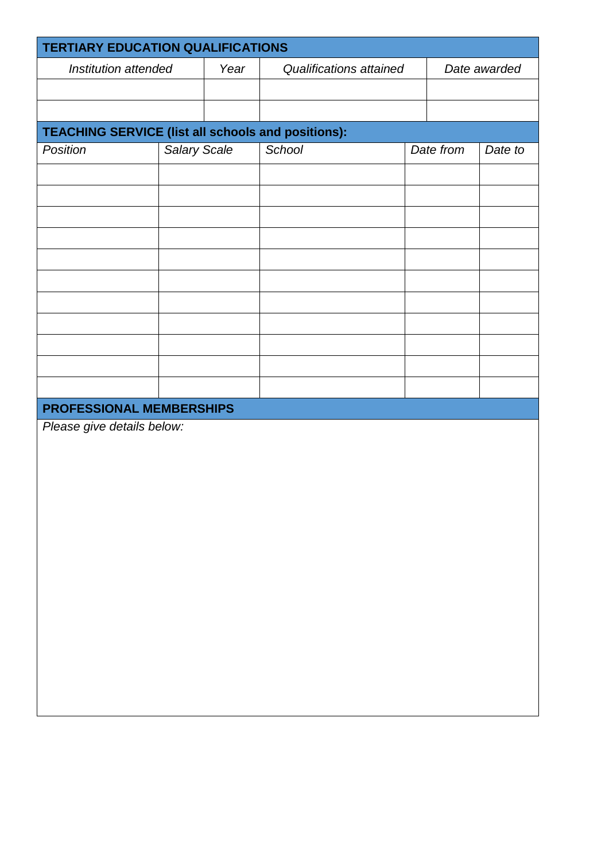|                                                           | <b>TERTIARY EDUCATION QUALIFICATIONS</b> |      |                         |           |              |         |  |  |  |
|-----------------------------------------------------------|------------------------------------------|------|-------------------------|-----------|--------------|---------|--|--|--|
| Institution attended                                      |                                          | Year | Qualifications attained |           | Date awarded |         |  |  |  |
|                                                           |                                          |      |                         |           |              |         |  |  |  |
|                                                           |                                          |      |                         |           |              |         |  |  |  |
| <b>TEACHING SERVICE (list all schools and positions):</b> |                                          |      |                         |           |              |         |  |  |  |
| Position                                                  | <b>Salary Scale</b>                      |      | School                  | Date from |              | Date to |  |  |  |
|                                                           |                                          |      |                         |           |              |         |  |  |  |
|                                                           |                                          |      |                         |           |              |         |  |  |  |
|                                                           |                                          |      |                         |           |              |         |  |  |  |
|                                                           |                                          |      |                         |           |              |         |  |  |  |
|                                                           |                                          |      |                         |           |              |         |  |  |  |
|                                                           |                                          |      |                         |           |              |         |  |  |  |
|                                                           |                                          |      |                         |           |              |         |  |  |  |
|                                                           |                                          |      |                         |           |              |         |  |  |  |
|                                                           |                                          |      |                         |           |              |         |  |  |  |
|                                                           |                                          |      |                         |           |              |         |  |  |  |
|                                                           |                                          |      |                         |           |              |         |  |  |  |
|                                                           |                                          |      |                         |           |              |         |  |  |  |
| PROFESSIONAL MEMBERSHIPS<br>Please give details below:    |                                          |      |                         |           |              |         |  |  |  |
|                                                           |                                          |      |                         |           |              |         |  |  |  |
|                                                           |                                          |      |                         |           |              |         |  |  |  |
|                                                           |                                          |      |                         |           |              |         |  |  |  |
|                                                           |                                          |      |                         |           |              |         |  |  |  |
|                                                           |                                          |      |                         |           |              |         |  |  |  |
|                                                           |                                          |      |                         |           |              |         |  |  |  |
|                                                           |                                          |      |                         |           |              |         |  |  |  |
|                                                           |                                          |      |                         |           |              |         |  |  |  |
|                                                           |                                          |      |                         |           |              |         |  |  |  |
|                                                           |                                          |      |                         |           |              |         |  |  |  |
|                                                           |                                          |      |                         |           |              |         |  |  |  |
|                                                           |                                          |      |                         |           |              |         |  |  |  |
|                                                           |                                          |      |                         |           |              |         |  |  |  |
|                                                           |                                          |      |                         |           |              |         |  |  |  |